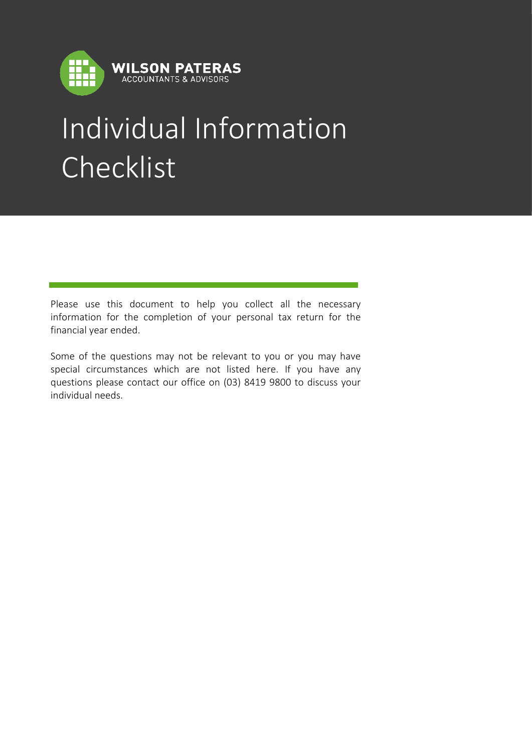

# Individual Information Checklist

Please use this document to help you collect all the necessary information for the completion of your personal tax return for the financial year ended.

Some of the questions may not be relevant to you or you may have special circumstances which are not listed here. If you have any questions please contact our office on (03) 8419 9800 to discuss your individual needs.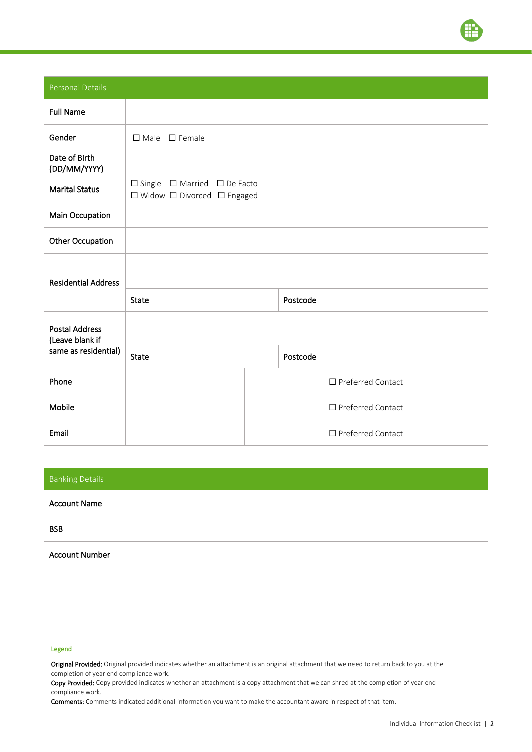

Personal Details

| <b>Full Name</b>                         |              |                                                                              |  |          |                          |
|------------------------------------------|--------------|------------------------------------------------------------------------------|--|----------|--------------------------|
| Gender                                   |              | $\Box$ Male $\Box$ Female                                                    |  |          |                          |
| Date of Birth<br>(DD/MM/YYYY)            |              |                                                                              |  |          |                          |
| <b>Marital Status</b>                    |              | $\Box$ Single $\Box$ Married $\Box$ De Facto<br>□ Widow □ Divorced □ Engaged |  |          |                          |
| <b>Main Occupation</b>                   |              |                                                                              |  |          |                          |
| Other Occupation                         |              |                                                                              |  |          |                          |
| <b>Residential Address</b>               |              |                                                                              |  |          |                          |
|                                          | <b>State</b> |                                                                              |  | Postcode |                          |
| <b>Postal Address</b><br>(Leave blank if |              |                                                                              |  |          |                          |
| same as residential)                     | <b>State</b> |                                                                              |  | Postcode |                          |
| Phone                                    |              |                                                                              |  |          | □ Preferred Contact      |
| Mobile                                   |              |                                                                              |  |          | □ Preferred Contact      |
| Email                                    |              |                                                                              |  |          | $\Box$ Preferred Contact |

| <b>Banking Details</b> |  |
|------------------------|--|
| <b>Account Name</b>    |  |
| <b>BSB</b>             |  |
| <b>Account Number</b>  |  |

#### Legend

Original Provided: Original provided indicates whether an attachment is an original attachment that we need to return back to you at the completion of year end compliance work.

Copy Provided: Copy provided indicates whether an attachment is a copy attachment that we can shred at the completion of year end compliance work.

Comments: Comments indicated additional information you want to make the accountant aware in respect of that item.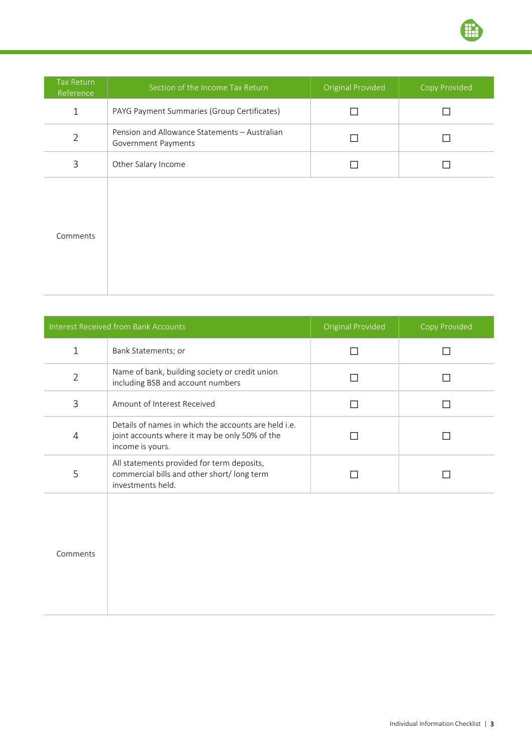

| Tax Return<br>Reference | Section of the Income Tax Return                                     | Original Provided | Copy Provided |
|-------------------------|----------------------------------------------------------------------|-------------------|---------------|
| $\mathbf{1}$            | PAYG Payment Summaries (Group Certificates)                          |                   | П             |
| $\overline{2}$          | Pension and Allowance Statements - Australian<br>Government Payments |                   | П             |
| 3                       | Other Salary Income                                                  |                   | П             |
| Comments                |                                                                      |                   |               |

|                | <b>Interest Received from Bank Accounts</b>                                                                                | <b>Original Provided</b> | Copy Provided |
|----------------|----------------------------------------------------------------------------------------------------------------------------|--------------------------|---------------|
| $\mathbf{1}$   | Bank Statements; or                                                                                                        | П                        |               |
| $\overline{2}$ | Name of bank, building society or credit union<br>including BSB and account numbers                                        |                          |               |
| 3              | Amount of Interest Received                                                                                                | П                        |               |
| $\overline{4}$ | Details of names in which the accounts are held i.e.<br>joint accounts where it may be only 50% of the<br>income is yours. |                          |               |
| 5              | All statements provided for term deposits,<br>commercial bills and other short/long term<br>investments held.              |                          |               |
|                |                                                                                                                            |                          |               |
|                |                                                                                                                            |                          |               |
| Comments       |                                                                                                                            |                          |               |
|                |                                                                                                                            |                          |               |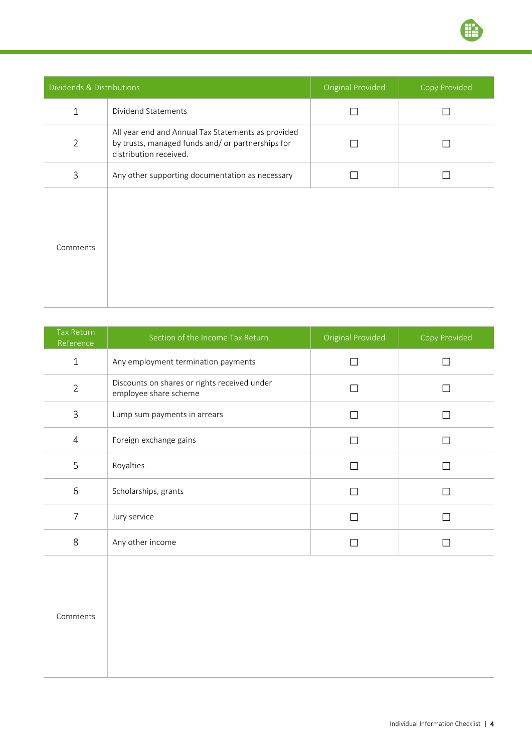

| Dividends & Distributions |                                                                                                                                   | <b>Original Provided</b> | <b>Copy Provided</b> |
|---------------------------|-----------------------------------------------------------------------------------------------------------------------------------|--------------------------|----------------------|
| $\mathbf{1}$              | Dividend Statements                                                                                                               |                          |                      |
| $\overline{2}$            | All year end and Annual Tax Statements as provided<br>by trusts, managed funds and/ or partnerships for<br>distribution received. |                          |                      |
| 3                         | Any other supporting documentation as necessary                                                                                   |                          |                      |
| Comments                  |                                                                                                                                   |                          |                      |

| <b>Tax Return</b><br>Reference | Section of the Income Tax Return                                      | Original Provided | Copy Provided |
|--------------------------------|-----------------------------------------------------------------------|-------------------|---------------|
| $\mathbf{1}$                   | Any employment termination payments                                   | П                 | П             |
| $\overline{2}$                 | Discounts on shares or rights received under<br>employee share scheme | П                 | П             |
| $\mathsf 3$                    | Lump sum payments in arrears                                          | П                 | П             |
| $\overline{4}$                 | Foreign exchange gains                                                | П                 | П             |
| 5                              | Royalties                                                             | П                 | П             |
| 6                              | Scholarships, grants                                                  | $\Box$            | П             |
| $\overline{7}$                 | Jury service                                                          | $\Box$            | П             |
| 8                              | Any other income                                                      | $\Box$            | $\Box$        |
| Comments                       |                                                                       |                   |               |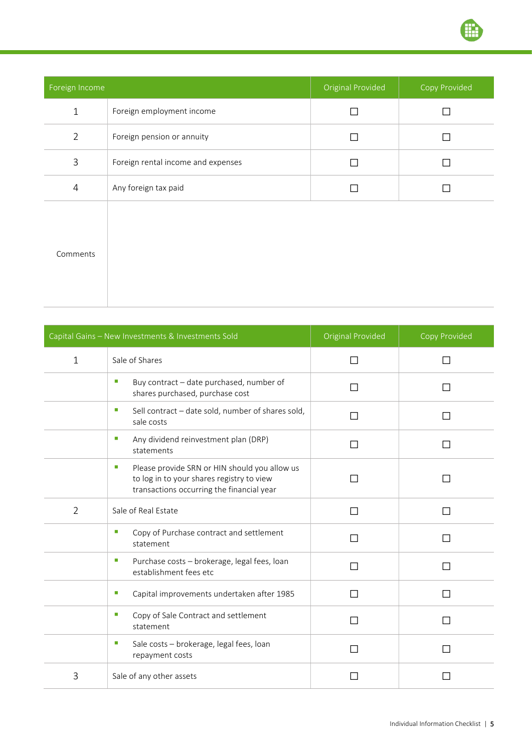

| Foreign Income |                                    | Original Provided | Copy Provided |
|----------------|------------------------------------|-------------------|---------------|
| $\mathbf{1}$   | Foreign employment income          |                   |               |
| $\overline{2}$ | Foreign pension or annuity         |                   | П             |
| 3              | Foreign rental income and expenses |                   | П             |
| 4              | Any foreign tax paid               |                   |               |
| Comments       |                                    |                   |               |

|                | Capital Gains - New Investments & Investments Sold                                                                                           | Original Provided | Copy Provided |
|----------------|----------------------------------------------------------------------------------------------------------------------------------------------|-------------------|---------------|
| $\mathbf{1}$   | Sale of Shares                                                                                                                               | ΙI                |               |
|                | п<br>Buy contract - date purchased, number of<br>shares purchased, purchase cost                                                             |                   |               |
|                | Sell contract - date sold, number of shares sold,<br>ш<br>sale costs                                                                         | П                 |               |
|                | Any dividend reinvestment plan (DRP)<br>ш<br>statements                                                                                      | П                 |               |
|                | Please provide SRN or HIN should you allow us<br>ш<br>to log in to your shares registry to view<br>transactions occurring the financial year |                   |               |
| $\overline{2}$ | Sale of Real Estate                                                                                                                          | П                 |               |
|                | ш<br>Copy of Purchase contract and settlement<br>statement                                                                                   | П                 | $\mathsf{L}$  |
|                | o.<br>Purchase costs - brokerage, legal fees, loan<br>establishment fees etc                                                                 | П                 |               |
|                | o.<br>Capital improvements undertaken after 1985                                                                                             | ΙI                |               |
|                | Copy of Sale Contract and settlement<br>ш<br>statement                                                                                       | П                 |               |
|                | ш<br>Sale costs - brokerage, legal fees, loan<br>repayment costs                                                                             |                   |               |
| 3              | Sale of any other assets                                                                                                                     |                   |               |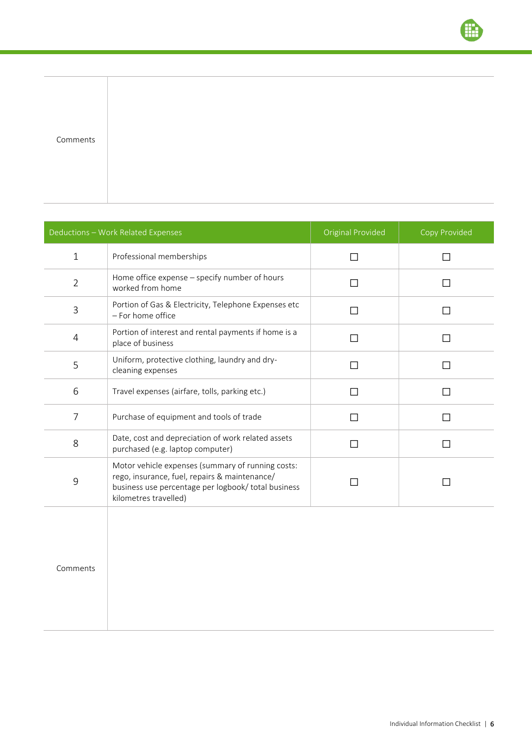| Deductions - Work Related Expenses |                                                                                                                                                                                    | <b>Original Provided</b> | Copy Provided |
|------------------------------------|------------------------------------------------------------------------------------------------------------------------------------------------------------------------------------|--------------------------|---------------|
| $\mathbf{1}$                       | Professional memberships                                                                                                                                                           | П                        |               |
| $\overline{2}$                     | Home office expense - specify number of hours<br>worked from home                                                                                                                  | П                        |               |
| 3                                  | Portion of Gas & Electricity, Telephone Expenses etc<br>- For home office                                                                                                          | П                        |               |
| 4                                  | Portion of interest and rental payments if home is a<br>place of business                                                                                                          | П                        | ΙI            |
| 5                                  | Uniform, protective clothing, laundry and dry-<br>cleaning expenses                                                                                                                | П                        |               |
| 6                                  | Travel expenses (airfare, tolls, parking etc.)                                                                                                                                     | П                        |               |
| $\overline{7}$                     | Purchase of equipment and tools of trade                                                                                                                                           | П                        |               |
| 8                                  | Date, cost and depreciation of work related assets<br>purchased (e.g. laptop computer)                                                                                             | П                        |               |
| 9                                  | Motor vehicle expenses (summary of running costs:<br>rego, insurance, fuel, repairs & maintenance/<br>business use percentage per logbook/ total business<br>kilometres travelled) |                          |               |
| Comments                           |                                                                                                                                                                                    |                          |               |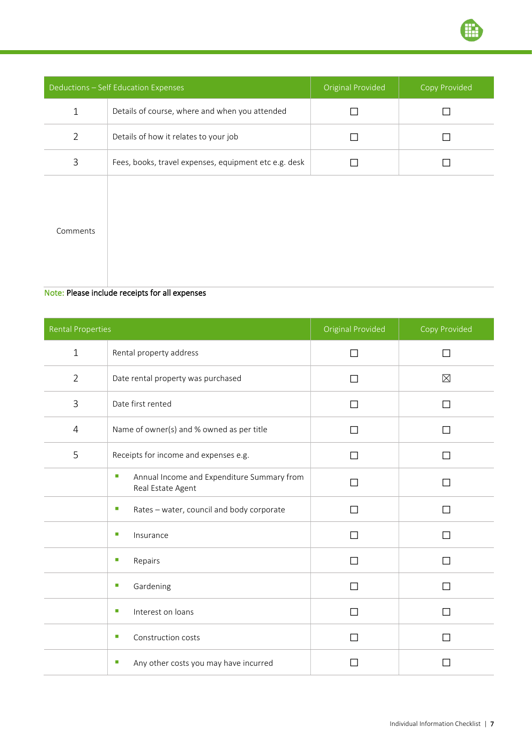

| Deductions - Self Education Expenses |                                                       | <b>Original Provided</b> | <b>Copy Provided</b> |
|--------------------------------------|-------------------------------------------------------|--------------------------|----------------------|
| $\mathbf 1$                          | Details of course, where and when you attended        |                          |                      |
| $\overline{2}$                       | Details of how it relates to your job                 |                          |                      |
| 3                                    | Fees, books, travel expenses, equipment etc e.g. desk |                          |                      |
| Comments                             |                                                       |                          |                      |

## Note: Please include receipts for all expenses

| <b>Rental Properties</b> |                                                                      | Original Provided | Copy Provided |
|--------------------------|----------------------------------------------------------------------|-------------------|---------------|
| $\mathbf{1}$             | Rental property address                                              | П                 | П             |
| $\overline{2}$           | Date rental property was purchased                                   | П                 | $\boxtimes$   |
| 3                        | Date first rented                                                    | П                 | $\mathsf{L}$  |
| $\overline{4}$           | Name of owner(s) and % owned as per title                            | П                 | $\mathsf{L}$  |
| 5                        | Receipts for income and expenses e.g.                                | П                 |               |
|                          | Annual Income and Expenditure Summary from<br>п<br>Real Estate Agent | П                 |               |
|                          | Rates - water, council and body corporate<br>п                       | П                 | $\mathsf{L}$  |
|                          | п<br>Insurance                                                       | П                 | $\mathsf{L}$  |
|                          | п<br>Repairs                                                         | П                 |               |
|                          | Gardening<br>п                                                       | П                 | П             |
|                          | Interest on loans<br>п                                               | П                 | H             |
|                          | Construction costs<br>п                                              |                   |               |
|                          | Any other costs you may have incurred<br>ш                           |                   |               |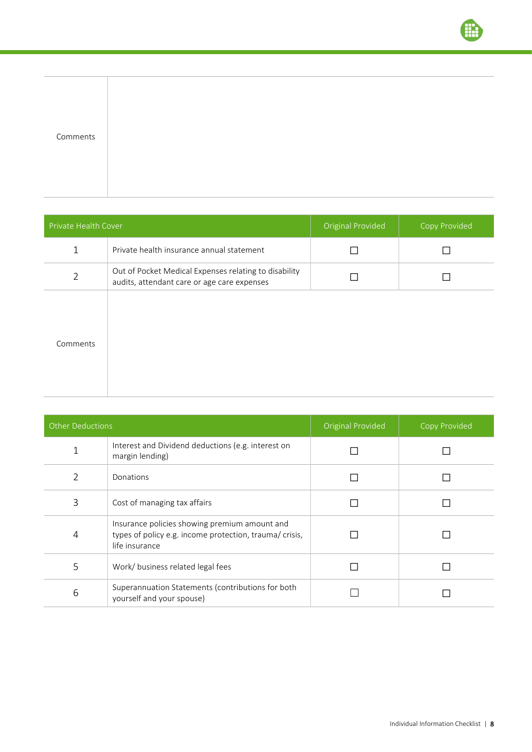| Comments |  |  |
|----------|--|--|
|          |  |  |
|          |  |  |
|          |  |  |
|          |  |  |
|          |  |  |
|          |  |  |
|          |  |  |
|          |  |  |
|          |  |  |
|          |  |  |
|          |  |  |
|          |  |  |

| Private Health Cover |                                                                                                      | <b>Original Provided</b> | Copy Provided |  |
|----------------------|------------------------------------------------------------------------------------------------------|--------------------------|---------------|--|
| $\mathbf{1}$         | Private health insurance annual statement                                                            |                          |               |  |
| $\overline{2}$       | Out of Pocket Medical Expenses relating to disability<br>audits, attendant care or age care expenses |                          |               |  |
| Comments             |                                                                                                      |                          |               |  |

| <b>Other Deductions</b> |                                                                                                                            | <b>Original Provided</b> | Copy Provided |  |
|-------------------------|----------------------------------------------------------------------------------------------------------------------------|--------------------------|---------------|--|
|                         | Interest and Dividend deductions (e.g. interest on<br>margin lending)                                                      |                          |               |  |
| $\mathcal{P}$           | Donations                                                                                                                  |                          |               |  |
| 3                       | Cost of managing tax affairs                                                                                               |                          |               |  |
| 4                       | Insurance policies showing premium amount and<br>types of policy e.g. income protection, trauma/ crisis,<br>life insurance |                          |               |  |
| 5                       | Work/business related legal fees                                                                                           |                          |               |  |
| 6                       | Superannuation Statements (contributions for both<br>yourself and your spouse)                                             |                          |               |  |

Ħ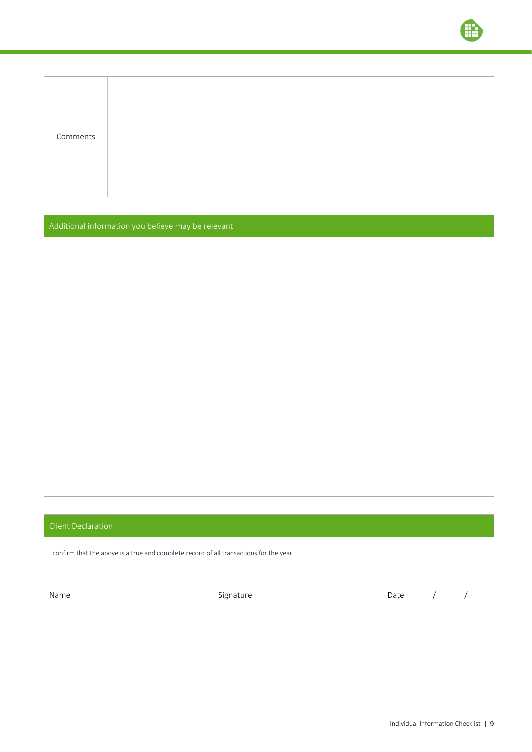| Comments |  |  |  |
|----------|--|--|--|
|          |  |  |  |
|          |  |  |  |
|          |  |  |  |
|          |  |  |  |
|          |  |  |  |

Additional information you believe may be relevant

## Client Declaration

I confirm that the above is a true and complete record of all transactions for the year

Name and the Signature Signature and the Date and American of the Society of the Society of the Society of the S